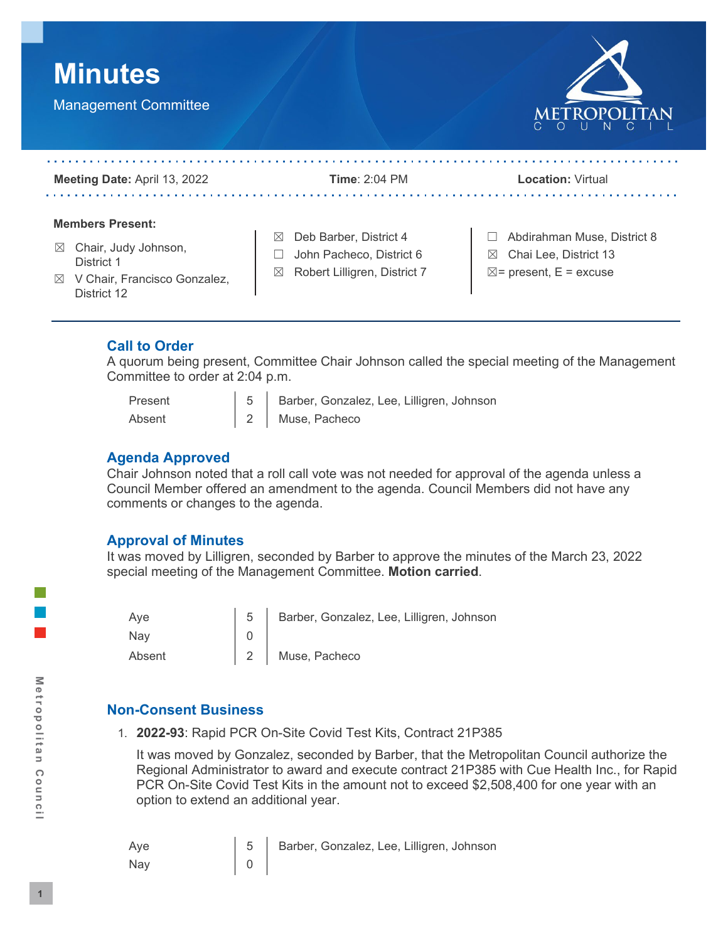



| Meeting Date: April 13, 2022                                                                                                             | <b>Time: 2:04 PM</b>                                                                         | <b>Location: Virtual</b>                                                                                 |
|------------------------------------------------------------------------------------------------------------------------------------------|----------------------------------------------------------------------------------------------|----------------------------------------------------------------------------------------------------------|
| <b>Members Present:</b><br>Chair, Judy Johnson,<br>$\bowtie$<br>District 1<br>V Chair, Francisco Gonzalez,<br>$\boxtimes$<br>District 12 | Deb Barber, District 4<br>⊠<br>John Pacheco, District 6<br>Robert Lilligren, District 7<br>⊠ | Abdirahman Muse, District 8<br>Chai Lee, District 13<br>$\boxtimes$<br>$\boxtimes$ = present, E = excuse |

# **Call to Order**

A quorum being present, Committee Chair Johnson called the special meeting of the Management Committee to order at 2:04 p.m.

| Present |  |
|---------|--|
| Absent  |  |

5 | Barber, Gonzalez, Lee, Lilligren, Johnson 2 Muse, Pacheco

# **Agenda Approved**

Chair Johnson noted that a roll call vote was not needed for approval of the agenda unless a Council Member offered an amendment to the agenda. Council Members did not have any comments or changes to the agenda.

## **Approval of Minutes**

It was moved by Lilligren, seconded by Barber to approve the minutes of the March 23, 2022 special meeting of the Management Committee. **Motion carried**.

| Ave    | $5-1$ | Barber, Gonzalez, Lee, Lilligren, Johnson |
|--------|-------|-------------------------------------------|
| Nay    |       |                                           |
| Absent |       | 2 Muse, Pacheco                           |

# **Non-Consent Business**

1. **2022-93**: Rapid PCR On-Site Covid Test Kits, Contract 21P385

It was moved by Gonzalez, seconded by Barber, that the Metropolitan Council authorize the Regional Administrator to award and execute contract 21P385 with Cue Health Inc., for Rapid PCR On-Site Covid Test Kits in the amount not to exceed \$2,508,400 for one year with an option to extend an additional year.

| Aye | 5 Barber, Gonzalez, Lee, Lilligren, Johnson |
|-----|---------------------------------------------|
| Nay |                                             |